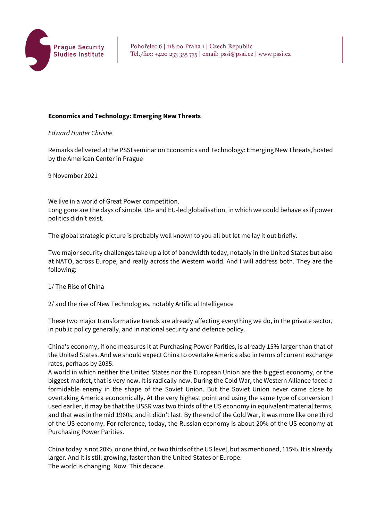

### **Economics and Technology: Emerging New Threats**

#### *Edward Hunter Christie*

Remarks delivered at the PSSI seminar on Economics and Technology: Emerging New Threats, hosted by the American Center in Prague

9 November 2021

We live in a world of Great Power competition. Long gone are the days of simple, US- and EU-led globalisation, in which we could behave as if power politics didn't exist.

The global strategic picture is probably well known to you all but let me lay it out briefly.

Two major security challenges take up a lot of bandwidth today, notably in the United States but also at NATO, across Europe, and really across the Western world. And I will address both. They are the following:

1/ The Rise of China

2/ and the rise of New Technologies, notably Artificial Intelligence

These two major transformative trends are already affecting everything we do, in the private sector, in public policy generally, and in national security and defence policy.

China's economy, if one measures it at Purchasing Power Parities, is already 15% larger than that of the United States. And we should expect China to overtake America also in terms of current exchange rates, perhaps by 2035.

A world in which neither the United States nor the European Union are the biggest economy, or the biggest market, that is very new. It is radically new. During the Cold War, the Western Alliance faced a formidable enemy in the shape of the Soviet Union. But the Soviet Union never came close to overtaking America economically. At the very highest point and using the same type of conversion I used earlier, it may be that the USSR was two thirds of the US economy in equivalent material terms, and that was in the mid 1960s, and it didn't last. By the end of the Cold War, it was more like one third of the US economy. For reference, today, the Russian economy is about 20% of the US economy at Purchasing Power Parities.

China today is not 20%, or one third, or two thirds of the US level, but as mentioned, 115%. It is already larger. And it is still growing, faster than the United States or Europe. The world is changing. Now. This decade.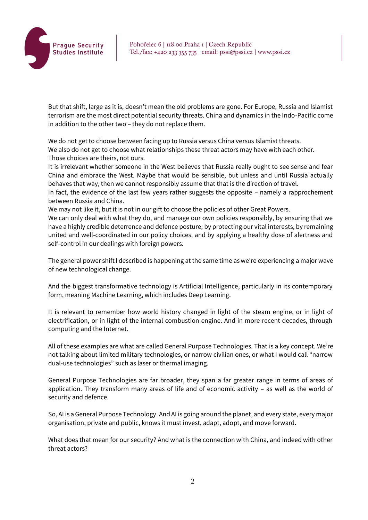

But that shift, large as it is, doesn't mean the old problems are gone. For Europe, Russia and Islamist terrorism are the most direct potential security threats. China and dynamics in the Indo-Pacific come in addition to the other two – they do not replace them.

We do not get to choose between facing up to Russia versus China versus Islamist threats. We also do not get to choose what relationships these threat actors may have with each other. Those choices are theirs, not ours.

It is irrelevant whether someone in the West believes that Russia really ought to see sense and fear China and embrace the West. Maybe that would be sensible, but unless and until Russia actually behaves that way, then we cannot responsibly assume that that is the direction of travel.

In fact, the evidence of the last few years rather suggests the opposite – namely a rapprochement between Russia and China.

We may not like it, but it is not in our gift to choose the policies of other Great Powers.

We can only deal with what they do, and manage our own policies responsibly, by ensuring that we have a highly credible deterrence and defence posture, by protecting our vital interests, by remaining united and well-coordinated in our policy choices, and by applying a healthy dose of alertness and self-control in our dealings with foreign powers.

The general power shift I described is happening at the same time as we're experiencing a major wave of new technological change.

And the biggest transformative technology is Artificial Intelligence, particularly in its contemporary form, meaning Machine Learning, which includes Deep Learning.

It is relevant to remember how world history changed in light of the steam engine, or in light of electrification, or in light of the internal combustion engine. And in more recent decades, through computing and the Internet.

All of these examples are what are called General Purpose Technologies. That is a key concept. We're not talking about limited military technologies, or narrow civilian ones, or what I would call "narrow dual-use technologies" such as laser or thermal imaging.

General Purpose Technologies are far broader, they span a far greater range in terms of areas of application. They transform many areas of life and of economic activity – as well as the world of security and defence.

So, AI is a General Purpose Technology. And AI is going around the planet, and every state, every major organisation, private and public, knows it must invest, adapt, adopt, and move forward.

What does that mean for our security? And what is the connection with China, and indeed with other threat actors?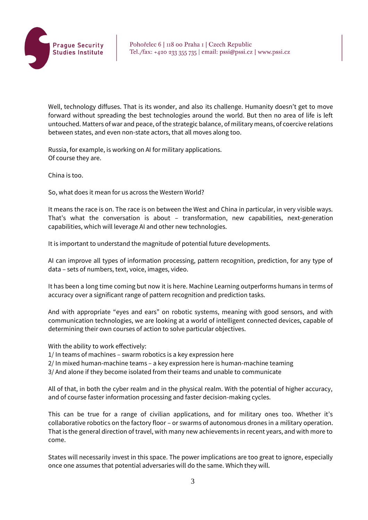

Well, technology diffuses. That is its wonder, and also its challenge. Humanity doesn't get to move forward without spreading the best technologies around the world. But then no area of life is left untouched. Matters of war and peace, of the strategic balance, of military means, of coercive relations between states, and even non-state actors, that all moves along too.

Russia, for example, is working on AI for military applications. Of course they are.

China is too.

So, what does it mean for us across the Western World?

It means the race is on. The race is on between the West and China in particular, in very visible ways. That's what the conversation is about – transformation, new capabilities, next-generation capabilities, which will leverage AI and other new technologies.

It is important to understand the magnitude of potential future developments.

AI can improve all types of information processing, pattern recognition, prediction, for any type of data – sets of numbers, text, voice, images, video.

It has been a long time coming but now it is here. Machine Learning outperforms humans in terms of accuracy over a significant range of pattern recognition and prediction tasks.

And with appropriate "eyes and ears" on robotic systems, meaning with good sensors, and with communication technologies, we are looking at a world of intelligent connected devices, capable of determining their own courses of action to solve particular objectives.

With the ability to work effectively:

1/ In teams of machines – swarm robotics is a key expression here

2/ In mixed human-machine teams – a key expression here is human-machine teaming

3/ And alone if they become isolated from their teams and unable to communicate

All of that, in both the cyber realm and in the physical realm. With the potential of higher accuracy, and of course faster information processing and faster decision-making cycles.

This can be true for a range of civilian applications, and for military ones too. Whether it's collaborative robotics on the factory floor – or swarms of autonomous drones in a military operation. That is the general direction of travel, with many new achievements in recent years, and with more to come.

States will necessarily invest in this space. The power implications are too great to ignore, especially once one assumes that potential adversaries will do the same. Which they will.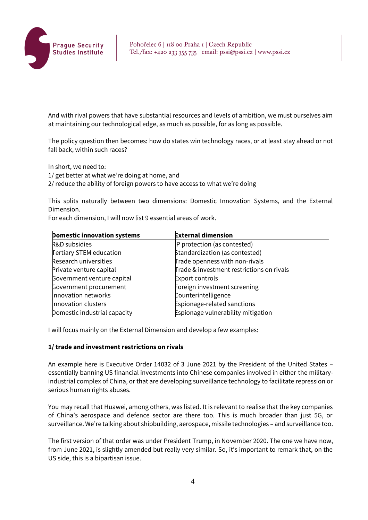

And with rival powers that have substantial resources and levels of ambition, we must ourselves aim at maintaining our technological edge, as much as possible, for as long as possible.

The policy question then becomes: how do states win technology races, or at least stay ahead or not fall back, within such races?

In short, we need to:

1/ get better at what we're doing at home, and

2/ reduce the ability of foreign powers to have access to what we're doing

This splits naturally between two dimensions: Domestic Innovation Systems, and the External Dimension.

For each dimension, I will now list 9 essential areas of work.

| <b>Domestic innovation systems</b> | <b>External dimension</b>                 |
|------------------------------------|-------------------------------------------|
| R&D subsidies                      | P protection (as contested)               |
| <b>Tertiary STEM education</b>     | Standardization (as contested)            |
| Research universities              | Trade openness with non-rivals            |
| Private venture capital            | Trade & investment restrictions on rivals |
| Government venture capital         | <b>Export controls</b>                    |
| Government procurement             | Foreign investment screening              |
| Innovation networks                | Counterintelligence                       |
| Innovation clusters                | Espionage-related sanctions               |
| Domestic industrial capacity       | Espionage vulnerability mitigation        |

I will focus mainly on the External Dimension and develop a few examples:

### **1/ trade and investment restrictions on rivals**

An example here is Executive Order 14032 of 3 June 2021 by the President of the United States – essentially banning US financial investments into Chinese companies involved in either the militaryindustrial complex of China, or that are developing surveillance technology to facilitate repression or serious human rights abuses.

You may recall that Huawei, among others, was listed. It is relevant to realise that the key companies of China's aerospace and defence sector are there too. This is much broader than just 5G, or surveillance. We're talking about shipbuilding, aerospace, missile technologies – and surveillance too.

The first version of that order was under President Trump, in November 2020. The one we have now, from June 2021, is slightly amended but really very similar. So, it's important to remark that, on the US side, this is a bipartisan issue.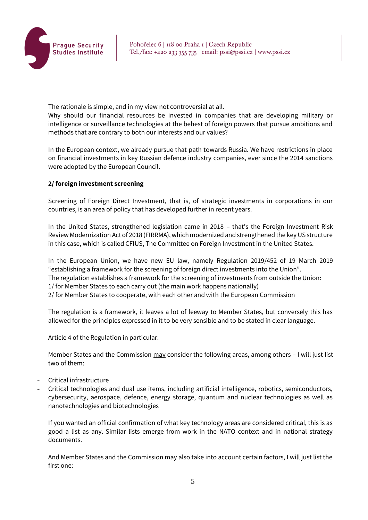

The rationale is simple, and in my view not controversial at all.

Why should our financial resources be invested in companies that are developing military or intelligence or surveillance technologies at the behest of foreign powers that pursue ambitions and methods that are contrary to both our interests and our values?

In the European context, we already pursue that path towards Russia. We have restrictions in place on financial investments in key Russian defence industry companies, ever since the 2014 sanctions were adopted by the European Council.

### **2/ foreign investment screening**

Screening of Foreign Direct Investment, that is, of strategic investments in corporations in our countries, is an area of policy that has developed further in recent years.

In the United States, strengthened legislation came in 2018 – that's the Foreign Investment Risk Review Modernization Act of 2018 (FIRRMA), which modernized and strengthened the key US structure in this case, which is called CFIUS, The Committee on Foreign Investment in the United States.

In the European Union, we have new EU law, namely Regulation 2019/452 of 19 March 2019 "establishing a framework for the screening of foreign direct investments into the Union". The regulation establishes a framework for the screening of investments from outside the Union: 1/ for Member States to each carry out (the main work happens nationally) 2/ for Member States to cooperate, with each other and with the European Commission

The regulation is a framework, it leaves a lot of leeway to Member States, but conversely this has allowed for the principles expressed in it to be very sensible and to be stated in clear language.

Article 4 of the Regulation in particular:

Member States and the Commission may consider the following areas, among others – I will just list two of them:

- Critical infrastructure
- Critical technologies and dual use items, including artificial intelligence, robotics, semiconductors, cybersecurity, aerospace, defence, energy storage, quantum and nuclear technologies as well as nanotechnologies and biotechnologies

If you wanted an official confirmation of what key technology areas are considered critical, this is as good a list as any. Similar lists emerge from work in the NATO context and in national strategy documents.

And Member States and the Commission may also take into account certain factors, I will just list the first one: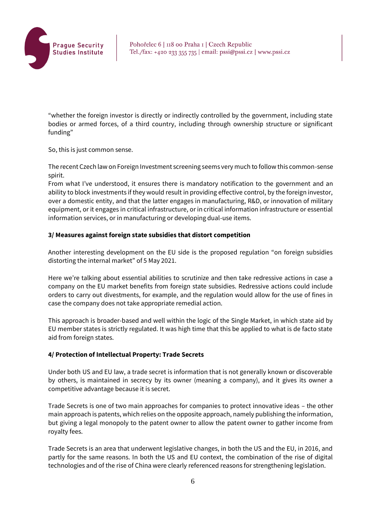

"whether the foreign investor is directly or indirectly controlled by the government, including state bodies or armed forces, of a third country, including through ownership structure or significant funding"

So, this is just common sense.

The recent Czech law on Foreign Investment screening seems very much to follow this common-sense spirit.

From what I've understood, it ensures there is mandatory notification to the government and an ability to block investments if they would result in providing effective control, by the foreign investor, over a domestic entity, and that the latter engages in manufacturing, R&D, or innovation of military equipment, or it engages in critical infrastructure, or in critical information infrastructure or essential information services, or in manufacturing or developing dual-use items.

# **3/ Measures against foreign state subsidies that distort competition**

Another interesting development on the EU side is the proposed regulation "on foreign subsidies distorting the internal market" of 5 May 2021.

Here we're talking about essential abilities to scrutinize and then take redressive actions in case a company on the EU market benefits from foreign state subsidies. Redressive actions could include orders to carry out divestments, for example, and the regulation would allow for the use of fines in case the company does not take appropriate remedial action.

This approach is broader-based and well within the logic of the Single Market, in which state aid by EU member states is strictly regulated. It was high time that this be applied to what is de facto state aid from foreign states.

# **4/ Protection of Intellectual Property: Trade Secrets**

Under both US and EU law, a trade secret is information that is not generally known or discoverable by others, is maintained in secrecy by its owner (meaning a company), and it gives its owner a competitive advantage because it is secret.

Trade Secrets is one of two main approaches for companies to protect innovative ideas – the other main approach is patents, which relies on the opposite approach, namely publishing the information, but giving a legal monopoly to the patent owner to allow the patent owner to gather income from royalty fees.

Trade Secrets is an area that underwent legislative changes, in both the US and the EU, in 2016, and partly for the same reasons. In both the US and EU context, the combination of the rise of digital technologies and of the rise of China were clearly referenced reasons for strengthening legislation.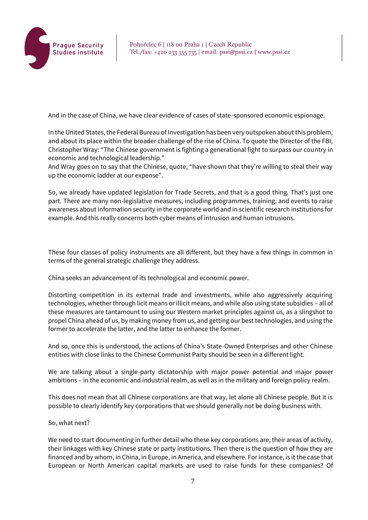

And in the case of China, we have clear evidence of cases of state-sponsored economic espionage.

In the United States, the Federal Bureau of Investigation has been very outspoken about this problem, and about its place within the broader challenge of the rise of China. To quote the Director of the FBI, Christopher Wray: "The Chinese government is fighting a generational fight to surpass our country in economic and technological leadership."

And Wray goes on to say that the Chinese, quote, "have shown that they're willing to steal their way up the economic ladder at our expense".

So, we already have updated legislation for Trade Secrets, and that is a good thing. That's just one part. There are many non-legislative measures, including programmes, training, and events to raise awareness about information security in the corporate world and in scientific research institutions for example. And this really concerns both cyber means of intrusion and human intrusions.

These four classes of policy instruments are all different, but they have a few things in common in terms of the general strategic challenge they address.

China seeks an advancement of its technological and economic power.

Distorting competition in its external trade and investments, while also aggressively acquiring technologies, whether through licit means or illicit means, and while also using state subsidies – all of these measures are tantamount to using our Western market principles against us, as a slingshot to propel China ahead of us, by making money from us, and getting our best technologies, and using the former to accelerate the latter, and the latter to enhance the former.

And so, once this is understood, the actions of China's State-Owned Enterprises and other Chinese entities with close links to the Chinese Communist Party should be seen in a different light.

We are talking about a single-party dictatorship with major power potential and major power ambitions – in the economic and industrial realm, as well as in the military and foreign policy realm.

This does not mean that all Chinese corporations are that way, let alone all Chinese people. But it is possible to clearly identify key corporations that we should generally not be doing business with.

#### So, what next?

We need to start documenting in further detail who these key corporations are, their areas of activity, their linkages with key Chinese state or party institutions. Then there is the question of how they are financed and by whom, in China, in Europe, in America, and elsewhere. For instance, is it the case that European or North American capital markets are used to raise funds for these companies? Of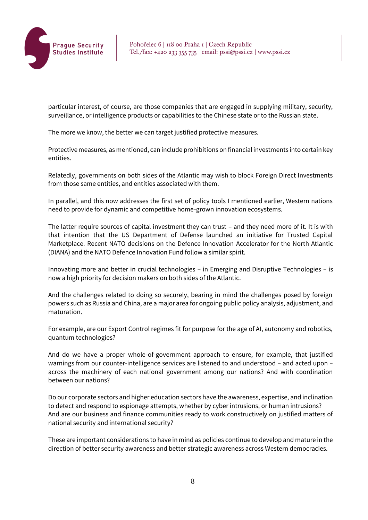

particular interest, of course, are those companies that are engaged in supplying military, security, surveillance, or intelligence products or capabilities to the Chinese state or to the Russian state.

The more we know, the better we can target justified protective measures.

Protective measures, as mentioned, can include prohibitions on financial investments into certain key entities.

Relatedly, governments on both sides of the Atlantic may wish to block Foreign Direct Investments from those same entities, and entities associated with them.

In parallel, and this now addresses the first set of policy tools I mentioned earlier, Western nations need to provide for dynamic and competitive home-grown innovation ecosystems.

The latter require sources of capital investment they can trust – and they need more of it. It is with that intention that the US Department of Defense launched an initiative for Trusted Capital Marketplace. Recent NATO decisions on the Defence Innovation Accelerator for the North Atlantic (DIANA) and the NATO Defence Innovation Fund follow a similar spirit.

Innovating more and better in crucial technologies – in Emerging and Disruptive Technologies – is now a high priority for decision makers on both sides of the Atlantic.

And the challenges related to doing so securely, bearing in mind the challenges posed by foreign powers such as Russia and China, are a major area for ongoing public policy analysis, adjustment, and maturation.

For example, are our Export Control regimes fit for purpose for the age of AI, autonomy and robotics, quantum technologies?

And do we have a proper whole-of-government approach to ensure, for example, that justified warnings from our counter-intelligence services are listened to and understood – and acted upon – across the machinery of each national government among our nations? And with coordination between our nations?

Do our corporate sectors and higher education sectors have the awareness, expertise, and inclination to detect and respond to espionage attempts, whether by cyber intrusions, or human intrusions? And are our business and finance communities ready to work constructively on justified matters of national security and international security?

These are important considerations to have in mind as policies continue to develop and mature in the direction of better security awareness and better strategic awareness across Western democracies.